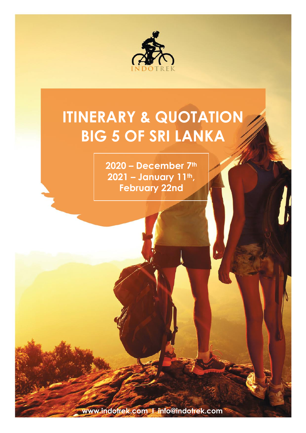

# **ITINERARY & QUOTATION BIG 5 OF SRI LANKA**

**2020 – December 7th 2021 – January 11th , February 22nd**

**www.indotrek.com I info@indotrek.com**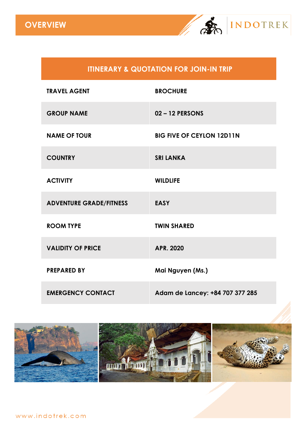

### **ITINERARY & QUOTATION FOR JOIN-IN TRIP**

| <b>TRAVEL AGENT</b>            | <b>BROCHURE</b>                  |
|--------------------------------|----------------------------------|
| <b>GROUP NAME</b>              | $02 - 12$ PERSONS                |
| <b>NAME OF TOUR</b>            | <b>BIG FIVE OF CEYLON 12D11N</b> |
| <b>COUNTRY</b>                 | <b>SRI LANKA</b>                 |
| <b>ACTIVITY</b>                | <b>WILDLIFE</b>                  |
| <b>ADVENTURE GRADE/FITNESS</b> | <b>EASY</b>                      |
| <b>ROOM TYPE</b>               | <b>TWIN SHARED</b>               |
| <b>VALIDITY OF PRICE</b>       | APR. 2020                        |
| <b>PREPARED BY</b>             | Mai Nguyen (Ms.)                 |
| <b>EMERGENCY CONTACT</b>       | Adam de Lancey: +84 707 377 285  |

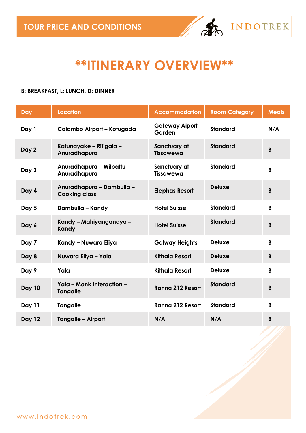

## **\*\*ITINERARY OVERVIEW\*\***

#### **B: BREAKFAST, L: LUNCH, D: DINNER**

| Day           | <b>Location</b>                                   | <b>Accommodation</b>             | <b>Room Category</b> | <b>Meals</b> |
|---------------|---------------------------------------------------|----------------------------------|----------------------|--------------|
| Day 1         | Colombo Airport - Kotugoda                        | <b>Gateway Aiport</b><br>Garden  | <b>Standard</b>      | N/A          |
| Day 2         | Katunayake - Ritigala -<br>Anuradhapura           | Sanctuary at<br><b>Tissawewa</b> | <b>Standard</b>      | B            |
| Day 3         | Anuradhapura - Wilpattu -<br>Anuradhapura         | Sanctuary at<br><b>Tissawewa</b> | <b>Standard</b>      | B            |
| Day 4         | Anuradhapura - Dambulla -<br><b>Cooking class</b> | <b>Elephas Resort</b>            | <b>Deluxe</b>        | B            |
| Day 5         | Dambulla - Kandy                                  | <b>Hotel Suisse</b>              | <b>Standard</b>      | B            |
| Day 6         | Kandy – Mahiyanganaya –<br>Kandy                  | <b>Hotel Suisse</b>              | <b>Standard</b>      | B            |
| Day 7         | Kandy - Nuwara Eliya                              | <b>Galway Heights</b>            | <b>Deluxe</b>        | $\mathbf{B}$ |
| Day 8         | Nuwara Eliya - Yala                               | <b>Kithala Resort</b>            | <b>Deluxe</b>        | B            |
| Day 9         | Yala                                              | <b>Kithala Resort</b>            | <b>Deluxe</b>        | B            |
| <b>Day 10</b> | Yala - Monk Interaction -<br><b>Tangalle</b>      | Ranna 212 Resort                 | <b>Standard</b>      | B            |
| Day 11        | <b>Tangalle</b>                                   | <b>Ranna 212 Resort</b>          | <b>Standard</b>      | B            |
| <b>Day 12</b> | <b>Tangalle - Airport</b>                         | N/A                              | N/A                  | B            |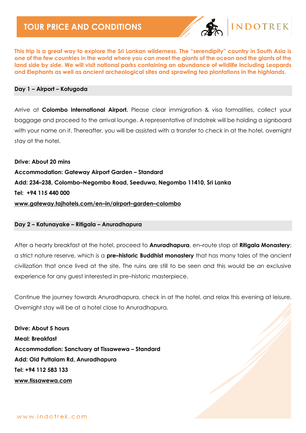

### **INDOTREK**

**This trip is a great way to explore the Sri Lankan wilderness. The "serendipity" country in South Asia is one of the few countries in the world where you can meet the giants of the ocean and the giants of the land side by side. We will visit national parks containing an abundance of wildlife including Leopards and Elephants as well as ancient archeological sites and sprawling tea plantations in the highlands.**

#### **Day 1 – Airport – Kotugoda**

Arrive at **Colombo International Airport.** Please clear immigration & visa formalities, collect your baggage and proceed to the arrival lounge. A representative of Indotrek will be holding a signboard with your name on it. Thereafter, you will be assisted with a transfer to check in at the hotel, overnight stay at the hotel.

**Drive: About 20 mins Accommodation: Gateway Airport Garden – Standard Add: 234–238, Colombo–Negombo Road, Seeduwa, Negombo 11410, Sri Lanka Tel: +94 115 440 000 [www.gateway.tajhotels.com/en](http://www.gateway.tajhotels.com/en-in/airport-garden-colombo)–in/airport–garden–colombo**

#### **Day 2 – Katunayake – Ritigala – Anuradhapura**

After a hearty breakfast at the hotel, proceed to **Anuradhapura**, en–route stop at **Ritigala Monastery**; a strict nature reserve, which is a **pre–historic Buddhist monastery** that has many tales of the ancient civilization that once lived at the site. The ruins are still to be seen and this would be an exclusive experience for any guest interested in pre–historic masterpiece.

Continue the journey towards Anuradhapura, check in at the hotel, and relax this evening at leisure. Overnight stay will be at a hotel close to Anuradhapura.

**Drive: About 5 hours Meal: Breakfast Accommodation: Sanctuary at Tissawewa – Standard Add: Old Puttalam Rd, Anuradhapura Tel: +94 112 583 133 [www.tissawewa.com](http://www.tissawewa.com/)**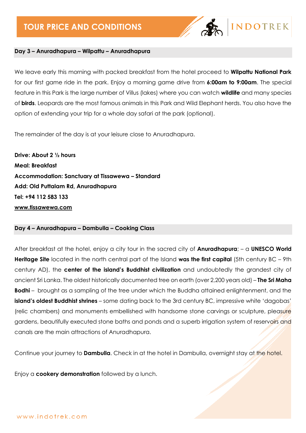

#### **Day 3 – Anuradhapura – Wilpattu – Anuradhapura**

We leave early this morning with packed breakfast from the hotel proceed to **Wilpattu National Park** for our first game ride in the park. Enjoy a morning game drive from **6:00am to 9:00am**. The special feature in this Park is the large number of Villus (lakes) where you can watch **wildlife** and many species of **birds**. Leopards are the most famous animals in this Park and Wild Elephant herds. You also have the option of extending your trip for a whole day safari at the park (optional).

The remainder of the day is at your leisure close to Anuradhapura.

**Drive: About 2 ½ hours Meal: Breakfast Accommodation: Sanctuary at Tissawewa – Standard Add: Old Puttalam Rd, Anuradhapura Tel: +94 112 583 133 [www.tissawewa.com](http://www.tissawewa.com/)**

#### **Day 4 – Anuradhapura – Dambulla – Cooking Class**

After breakfast at the hotel, enjoy a city tour in the sacred city of **Anuradhapura**; – a **UNESCO World Heritage Site** located in the north central part of the Island **was the first capital** (5th century BC – 9th century AD), the **center of the island's Buddhist civilization** and undoubtedly the grandest city of ancient Sri Lanka. The oldest historically documented tree on earth (over 2,200 years old) – **The Sri Maha Bodhi** – brought as a sampling of the tree under which the Buddha attained enlightenment, and the **island's oldest Buddhist shrines** – some dating back to the 3rd century BC, impressive white 'dagobas' (relic chambers) and monuments embellished with handsome stone carvings or sculpture, pleasure gardens, beautifully executed stone baths and ponds and a superb irrigation system of reservoirs and canals are the main attractions of Anuradhapura.

Continue your journey to **Dambulla**. Check in at the hotel in Dambulla, overnight stay at the hotel.

Enjoy a **cookery demonstration** followed by a lunch.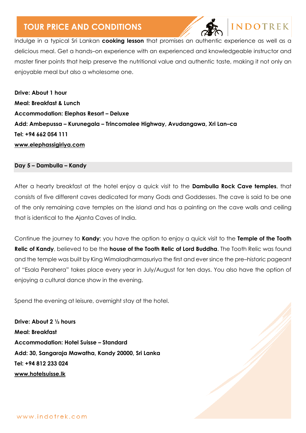

### **INDOTREK**

Indulge in a typical Sri Lankan **cooking lesson** that promises an authentic experience as well as a delicious meal. Get a hands–on experience with an experienced and knowledgeable instructor and master finer points that help preserve the nutritional value and authentic taste, making it not only an enjoyable meal but also a wholesome one.

**Drive: About 1 hour Meal: Breakfast & Lunch Accommodation: Elephas Resort – Deluxe Add: Ambepussa – Kurunegala – Trincomalee Highway, Avudangawa, Xri Lan–ca Tel: +94 662 054 111 [www.elephassigiriya.com](http://www.elephassigiriya.com/)**

#### **Day 5 – Dambulla – Kandy**

After a hearty breakfast at the hotel enjoy a quick visit to the **Dambulla Rock Cave temples**, that consists of five different caves dedicated for many Gods and Goddesses. The cave is said to be one of the only remaining cave temples on the island and has a painting on the cave walls and ceiling that is identical to the Ajanta Caves of India.

Continue the journey to **Kandy**; you have the option to enjoy a quick visit to the **Temple of the Tooth Relic of Kandy**, believed to be the **house of the Tooth Relic of Lord Buddha**. The Tooth Relic was found and the temple was built by King Wimaladharmasuriya the first and ever since the pre–historic pageant of "Esala Perahera" takes place every year in July/August for ten days. You also have the option of enjoying a cultural dance show in the evening.

Spend the evening at leisure, overnight stay at the hotel.

**Drive: About 2 ½ hours Meal: Breakfast Accommodation: Hotel Suisse – Standard Add: 30, Sangaraja Mawatha, Kandy 20000, Sri Lanka Tel: +94 812 233 024 [www.hotelsuisse.lk](http://www.hotelsuisse.lk/)**

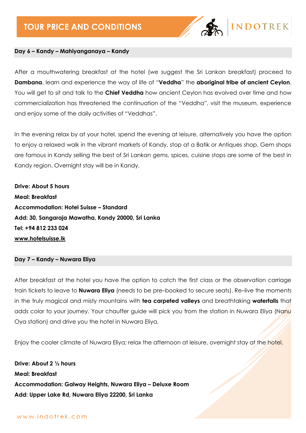

#### **Day 6 – Kandy – Mahiyanganaya – Kandy**

After a mouthwatering breakfast at the hotel (we suggest the Sri Lankan breakfast) proceed to **Dambana**, learn and experience the way of life of "**Veddha**" the **aboriginal tribe of ancient Ceylon**. You will get to sit and talk to the **Chief Veddha** how ancient Ceylon has evolved over time and how commercialization has threatened the continuation of the "Veddha", visit the museum, experience and enjoy some of the daily activities of "Veddhas".

In the evening relax by at your hotel, spend the evening at leisure, alternatively you have the option to enjoy a relaxed walk in the vibrant markets of Kandy, stop at a Batik or Antiques shop. Gem shops are famous in Kandy selling the best of Sri Lankan gems, spices, cuisine stops are some of the best in Kandy region. Overnight stay will be in Kandy.

**Drive: About 5 hours Meal: Breakfast Accommodation: Hotel Suisse – Standard Add: 30, Sangaraja Mawatha, Kandy 20000, Sri Lanka Tel: +94 812 233 024 [www.hotelsuisse.lk](http://www.hotelsuisse.lk/)**

**Day 7 – Kandy – Nuwara Eliya**

After breakfast at the hotel you have the option to catch the first class or the observation carriage train tickets to leave to **Nuwara Eliya** (needs to be pre–booked to secure seats). Re–live the moments in the truly magical and misty mountains with **tea carpeted valleys** and breathtaking **waterfalls** that adds color to your journey. Your chauffer guide will pick you from the station in Nuwara Eliya (Nanu Oya station) and drive you the hotel in Nuwara Eliya.

Enjoy the cooler climate of Nuwara Eliya; relax the afternoon at leisure, overnight stay at the hotel.

**Drive: About 2 ½ hours Meal: Breakfast Accommodation: Galway Heights, Nuwara Eliya – Deluxe Room Add: Upper Lake Rd, Nuwara Eliya 22200, Sri Lanka**

www.indotrek.com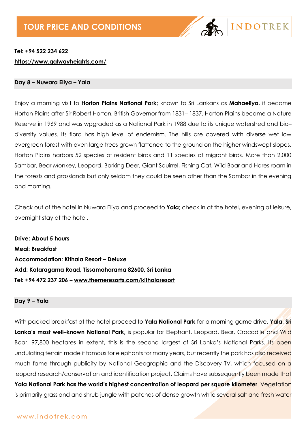

### **Tel: +94 522 234 622 <https://www.galwayheights.com/>**

#### **Day 8 – Nuwara Eliya – Yala**

Enjoy a morning visit to **Horton Plains National Park**; known to Sri Lankans as **Mahaeliya**, it became Horton Plains after Sir Robert Horton, British Governor from 1831– 1837. Horton Plains became a Nature Reserve in 1969 and was wpgraded as a National Park in 1988 due to its unique watershed and bio– diversity values. Its flora has high level of endemism. The hills are covered with diverse wet low evergreen forest with even large trees grown flattened to the ground on the higher windswept slopes. Horton Plains harbors 52 species of resident birds and 11 species of migrant birds. More than 2,000 Sambar, Bear Monkey, Leopard, Barking Deer, Giant Squirrel, Fishing Cat, Wild Boar and Hares roam in the forests and grasslands but only seldom they could be seen other than the Sambar in the evening and morning.

Check out of the hotel in Nuwara Eliya and proceed to **Yala**; check in at the hotel, evening at leisure, overnight stay at the hotel.

**Drive: About 5 hours Meal: Breakfast Accommodation: Kithala Resort – Deluxe Add: Kataragama Road, Tissamaharama 82600, Sri Lanka Tel: +94 472 237 206 – [www.themeresorts.com/kithalaresort](http://www.themeresorts.com/kithalaresort)**

#### **Day 9 – Yala**

With packed breakfast at the hotel proceed to **Yala National Park** for a morning game drive. **Yala, Sri Lanka's most well–known National Park,** is popular for Elephant, Leopard, Bear, Crocodile and Wild Boar. 97,800 hectares in extent, this is the second largest of Sri Lanka's National Parks. Its open undulating terrain made it famous for elephants for many years, but recently the park has also received much fame through publicity by National Geographic and the Discovery TV, which focused on a leopard research/conservation and identification project. Claims have subsequently been made that **Yala National Park has the world's highest concentration of leopard per square kilometer**. Vegetation is primarily grassland and shrub jungle with patches of dense growth while several salt and fresh water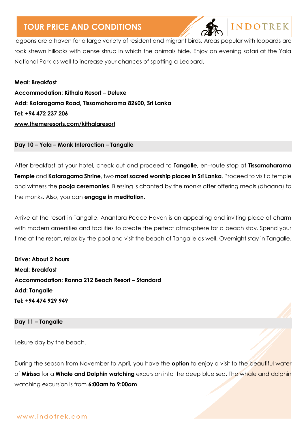

**INDOTREK** 

lagoons are a haven for a large variety of resident and migrant birds. Areas popular with leopards are rock strewn hillocks with dense shrub in which the animals hide. Enjoy an evening safari at the Yala National Park as well to increase your chances of spotting a Leopard.

**Meal: Breakfast Accommodation: Kithala Resort – Deluxe Add: Kataragama Road, Tissamaharama 82600, Sri Lanka Tel: +94 472 237 206 [www.themeresorts.com/kithalaresort](http://www.themeresorts.com/kithalaresort)**

**Day 10 – Yala – Monk Interaction – Tangalle**

After breakfast at your hotel, check out and proceed to **Tangalle**, en–route stop at **Tissamaharama Temple** and **Kataragama Shrine**, two **most sacred worship places in Sri Lanka**. Proceed to visit a temple and witness the **pooja ceremonies**. Blessing is chanted by the monks after offering meals (dhaana) to the monks. Also, you can **engage in meditation**.

Arrive at the resort in Tangalle, Anantara Peace Haven is an appealing and inviting place of charm with modern amenities and facilities to create the perfect atmosphere for a beach stay. Spend your time at the resort, relax by the pool and visit the beach of Tangalle as well. Overnight stay in Tangalle.

**Drive: About 2 hours Meal: Breakfast Accommodation: Ranna 212 Beach Resort – Standard Add: Tangalle Tel: +94 474 929 949**

#### **Day 11 – Tangalle**

Leisure day by the beach.

During the season from November to April, you have the **option** to enjoy a visit to the beautiful water of **Mirissa** for a **Whale and Dolphin watching** excursion into the deep blue sea. The whale and dolphin watching excursion is from **6:00am to 9:00am**.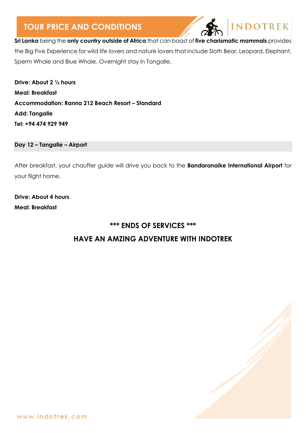

**Sri Lanka** being the **only country outside of Africa** that can boast of **five charismatic mammals** provides the Big Five Experience for wild life lovers and nature lovers that include Sloth Bear, Leopard, Elephant, Sperm Whale and Blue Whale. Overnight stay in Tangalle.

**Drive: About 2 ½ hours Meal: Breakfast Accommodation: Ranna 212 Beach Resort – Standard Add: Tangalle Tel: +94 474 929 949**

**Day 12 – Tangalle – Airport**

After breakfast, your chauffer guide will drive you back to the **Bandaranaike International Airport** for your flight home.

**Drive: About 4 hours Meal: Breakfast**

## **\*\*\* ENDS OF SERVICES \*\*\* HAVE AN AMZING ADVENTURE WITH INDOTREK**

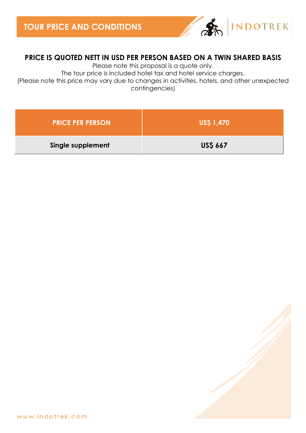

### **PRICE IS QUOTED NETT IN USD PER PERSON BASED ON A TWIN SHARED BASIS**

Please note this proposal is a quote only.

The tour price is included hotel tax and hotel service charges.

(Please note this price may vary due to changes in activities, hotels, and other unexpected contingencies)

| <b>PRICE PER PERSON</b> | <b>US\$ 1,470</b> |
|-------------------------|-------------------|
| Single supplement       | <b>US\$ 667</b>   |

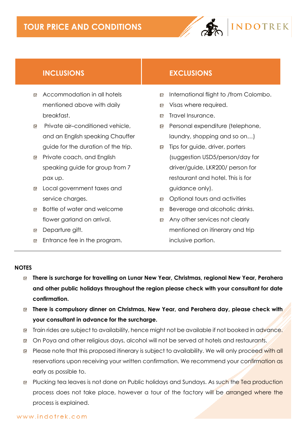

- Accommodation in all hotels mentioned above with daily breakfast.
- **□** Private air–conditioned vehicle, and an English speaking Chauffer guide for the duration of the trip.
- **Private coach, and English** speaking guide for group from 7 pax up.
- Local government taxes and service charges.
- Bottle of water and welcome flower garland on arrival.
- Departure gift.
- **□** Entrance fee in the program.

### **INCLUSIONS EXCLUSIONS**

- International flight to /from Colombo.
- Visas where required.
- **E** Travel Insurance.
- Personal expenditure (telephone, laundry, shopping and so on…)
- Tips for guide, driver, porters (suggestion USD5/person/day for driver/guide, LKR200/ person for restaurant and hotel. This is for guidance only).
- Optional tours and activities
- Beverage and alcoholic drinks.
- Any other services not clearly mentioned on itinerary and trip inclusive portion.

#### **NOTES**

- **There is surcharge for travelling on Lunar New Year, Christmas, regional New Year, Perahera and other public holidays throughout the region please check with your consultant for date confirmation.**
- **There is compulsory dinner on Christmas, New Year, and Perahera day, please check with your consultant in advance for the surcharge.**
- **E** Train rides are subject to availability, hence might not be available if not booked in advance.
- On Poya and other religious days, alcohol will not be served at hotels and restaurants.
- **Please note that this proposed itinerary is subject to availability. We will only proceed with all** reservations upon receiving your written confirmation. We recommend your confirmation as early as possible to.
- **P** Plucking tea leaves is not done on Public holidays and Sundays. As such the Tea production process does not take place, however a tour of the factory will be arranged where the process is explained.

#### www.indotrek.com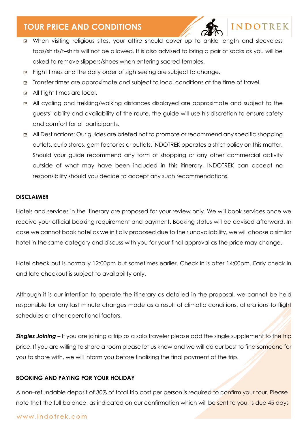

### **INDOTREK**

- When visiting religious sites, your attire should cover up to ankle length and sleeveless tops/shirts/t–shirts will not be allowed. It is also advised to bring a pair of socks as you will be asked to remove slippers/shoes when entering sacred temples.
- Flight times and the daily order of sightseeing are subject to change. 回
- Transfer times are approximate and subject to local conditions at the time of travel.  $\mathbf{r}$
- All flight times are local.
- All cycling and trekking/walking distances displayed are approximate and subject to the guests' ability and availability of the route, the guide will use his discretion to ensure safety and comfort for all participants.
- All Destinations: Our guides are briefed not to promote or recommend any specific shopping outlets, curio stores, gem factories or outlets. INDOTREK operates a strict policy on this matter. Should your guide recommend any form of shopping or any other commercial activity outside of what may have been included in this itinerary, INDOTREK can accept no responsibility should you decide to accept any such recommendations.

#### **DISCLAIMER**

Hotels and services in the itinerary are proposed for your review only. We will book services once we receive your official booking requirement and payment. Booking status will be advised afterward. In case we cannot book hotel as we initially proposed due to their unavailability, we will choose a similar hotel in the same category and discuss with you for your final approval as the price may change.

Hotel check out is normally 12:00pm but sometimes earlier. Check in is after 14:00pm. Early check in and late checkout is subject to availability only.

Although it is our intention to operate the itinerary as detailed in the proposal, we cannot be held responsible for any last minute changes made as a result of climatic conditions, alterations to flight schedules or other operational factors.

**Singles Joining** – If you are joining a trip as a solo traveler please add the single supplement to the trip price. If you are willing to share a room please let us know and we will do our best to find someone for you to share with, we will inform you before finalizing the final payment of the trip.

#### **BOOKING AND PAYING FOR YOUR HOLIDAY**

A non–refundable deposit of 30% of total trip cost per person is required to confirm your tour. Please note that the full balance, as indicated on our confirmation which will be sent to you, is due 45 days